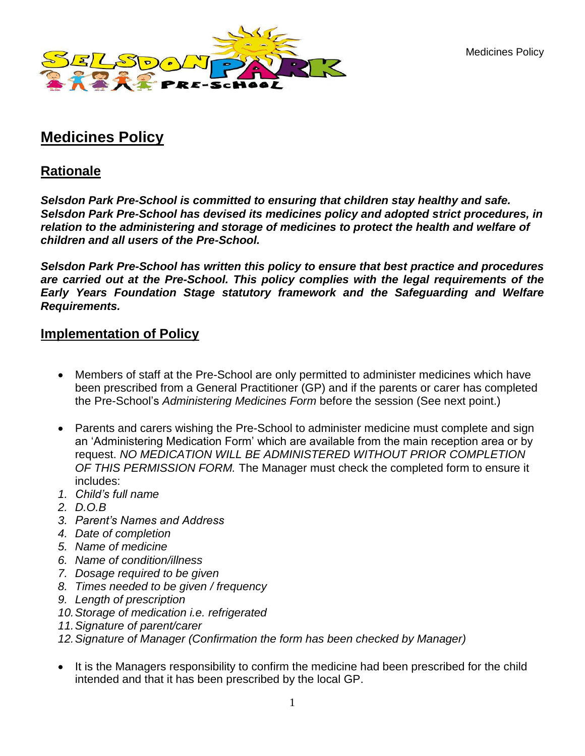Medicines Policy



# **Medicines Policy**

## **Rationale**

*Selsdon Park Pre-School is committed to ensuring that children stay healthy and safe. Selsdon Park Pre-School has devised its medicines policy and adopted strict procedures, in relation to the administering and storage of medicines to protect the health and welfare of children and all users of the Pre-School.*

*Selsdon Park Pre-School has written this policy to ensure that best practice and procedures are carried out at the Pre-School. This policy complies with the legal requirements of the Early Years Foundation Stage statutory framework and the Safeguarding and Welfare Requirements.* 

## **Implementation of Policy**

- Members of staff at the Pre-School are only permitted to administer medicines which have been prescribed from a General Practitioner (GP) and if the parents or carer has completed the Pre-School's *Administering Medicines Form* before the session (See next point.)
- Parents and carers wishing the Pre-School to administer medicine must complete and sign an 'Administering Medication Form' which are available from the main reception area or by request. *NO MEDICATION WILL BE ADMINISTERED WITHOUT PRIOR COMPLETION OF THIS PERMISSION FORM.* The Manager must check the completed form to ensure it includes:
- *1. Child's full name*
- *2. D.O.B*
- *3. Parent's Names and Address*
- *4. Date of completion*
- *5. Name of medicine*
- *6. Name of condition/illness*
- *7. Dosage required to be given*
- *8. Times needed to be given / frequency*
- *9. Length of prescription*
- *10.Storage of medication i.e. refrigerated*
- *11.Signature of parent/carer*
- *12.Signature of Manager (Confirmation the form has been checked by Manager)*
- It is the Managers responsibility to confirm the medicine had been prescribed for the child intended and that it has been prescribed by the local GP.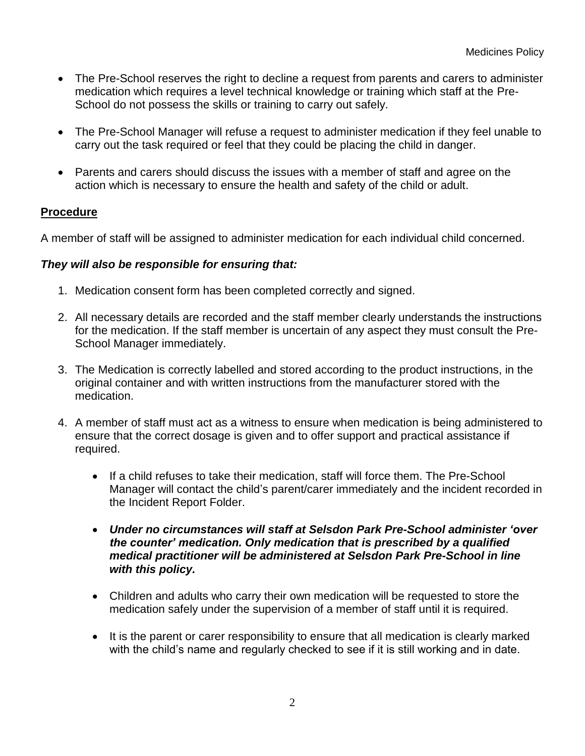- The Pre-School reserves the right to decline a request from parents and carers to administer medication which requires a level technical knowledge or training which staff at the Pre-School do not possess the skills or training to carry out safely.
- The Pre-School Manager will refuse a request to administer medication if they feel unable to carry out the task required or feel that they could be placing the child in danger.
- Parents and carers should discuss the issues with a member of staff and agree on the action which is necessary to ensure the health and safety of the child or adult.

#### **Procedure**

A member of staff will be assigned to administer medication for each individual child concerned.

#### *They will also be responsible for ensuring that:*

- 1. Medication consent form has been completed correctly and signed.
- 2. All necessary details are recorded and the staff member clearly understands the instructions for the medication. If the staff member is uncertain of any aspect they must consult the Pre-School Manager immediately.
- 3. The Medication is correctly labelled and stored according to the product instructions, in the original container and with written instructions from the manufacturer stored with the medication.
- 4. A member of staff must act as a witness to ensure when medication is being administered to ensure that the correct dosage is given and to offer support and practical assistance if required.
	- If a child refuses to take their medication, staff will force them. The Pre-School Manager will contact the child's parent/carer immediately and the incident recorded in the Incident Report Folder.
	- *Under no circumstances will staff at Selsdon Park Pre-School administer 'over the counter' medication. Only medication that is prescribed by a qualified medical practitioner will be administered at Selsdon Park Pre-School in line with this policy.*
	- Children and adults who carry their own medication will be requested to store the medication safely under the supervision of a member of staff until it is required.
	- It is the parent or carer responsibility to ensure that all medication is clearly marked with the child's name and regularly checked to see if it is still working and in date.